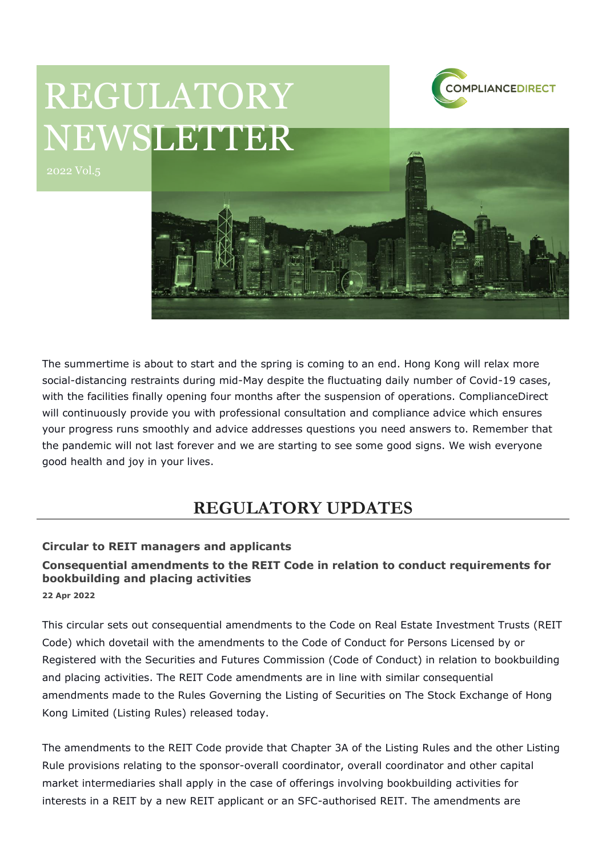

# REGULATORY NEWSLETTER



The summertime is about to start and the spring is coming to an end. Hong Kong will relax more social-distancing restraints during mid-May despite the fluctuating daily number of Covid-19 cases, with the facilities finally opening four months after the suspension of operations. ComplianceDirect will continuously provide you with professional consultation and compliance advice which ensures your progress runs smoothly and advice addresses questions you need answers to. Remember that the pandemic will not last forever and we are starting to see some good signs. We wish everyone good health and joy in your lives.

# **REGULATORY UPDATES**

## **Circular to REIT managers and applicants**

# **Consequential amendments to the REIT Code in relation to conduct requirements for bookbuilding and placing activities**

**22 Apr 2022**

This circular sets out consequential amendments to the Code on Real Estate Investment Trusts (REIT Code) which dovetail with the amendments to the Code of Conduct for Persons Licensed by or Registered with the Securities and Futures Commission (Code of Conduct) in relation to bookbuilding and placing activities. The REIT Code amendments are in line with similar consequential amendments made to the Rules Governing the Listing of Securities on The Stock Exchange of Hong Kong Limited (Listing Rules) released today.

The amendments to the REIT Code provide that Chapter 3A of the Listing Rules and the other Listing Rule provisions relating to the sponsor-overall coordinator, overall coordinator and other capital market intermediaries shall apply in the case of offerings involving bookbuilding activities for interests in a REIT by a new REIT applicant or an SFC-authorised REIT. The amendments are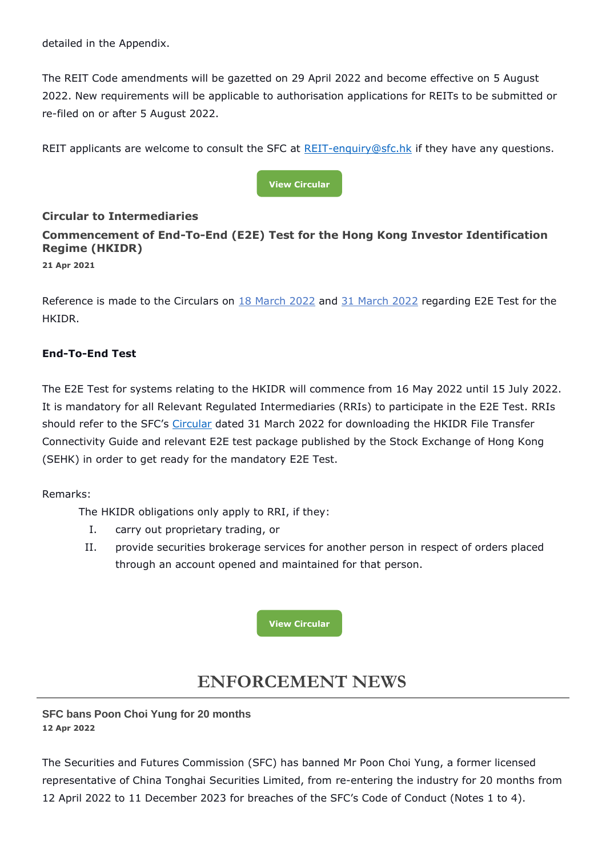detailed in the Appendix.

The REIT Code amendments will be gazetted on 29 April 2022 and become effective on 5 August 2022. New requirements will be applicable to authorisation applications for REITs to be submitted or re-filed on or after 5 August 2022.

REIT applicants are welcome to consult the SFC at  $REIT$ -enquiry@sfc.hk if they have any questions.



## **Circular to Intermediaries**

# **Commencement of End-To-End (E2E) Test for the Hong Kong Investor Identification Regime (HKIDR)**

**21 Apr 2021**

Reference is made to the Circulars on [18 March 2022](https://apps.sfc.hk/edistributionWeb/gateway/EN/circular/doc?refNo=22EC26) and [31 March 2022](https://apps.sfc.hk/edistributionWeb/gateway/EN/circular/doc?refNo=22EC33) regarding E2E Test for the **HKIDR** 

## **End-To-End Test**

The E2E Test for systems relating to the HKIDR will commence from 16 May 2022 until 15 July 2022. It is mandatory for all Relevant Regulated Intermediaries (RRIs) to participate in the E2E Test. RRIs should refer to the SFC's [Circular](https://apps.sfc.hk/edistributionWeb/gateway/EN/circular/doc?refNo=22EC33) dated 31 March 2022 for downloading the HKIDR File Transfer Connectivity Guide and relevant E2E test package published by the Stock Exchange of Hong Kong (SEHK) in order to get ready for the mandatory E2E Test.

Remarks:

The HKIDR obligations only apply to RRI, if they:

- I. carry out proprietary trading, or
- II. provide securities brokerage services for another person in respect of orders placed through an account opened and maintained for that person.



# **ENFORCEMENT NEWS**

## **SFC bans Poon Choi Yung for 20 months 12 Apr 2022**

The Securities and Futures Commission (SFC) has banned Mr Poon Choi Yung, a former licensed representative of China Tonghai Securities Limited, from re-entering the industry for 20 months from 12 April 2022 to 11 December 2023 for breaches of the SFC's Code of Conduct (Notes 1 to 4).